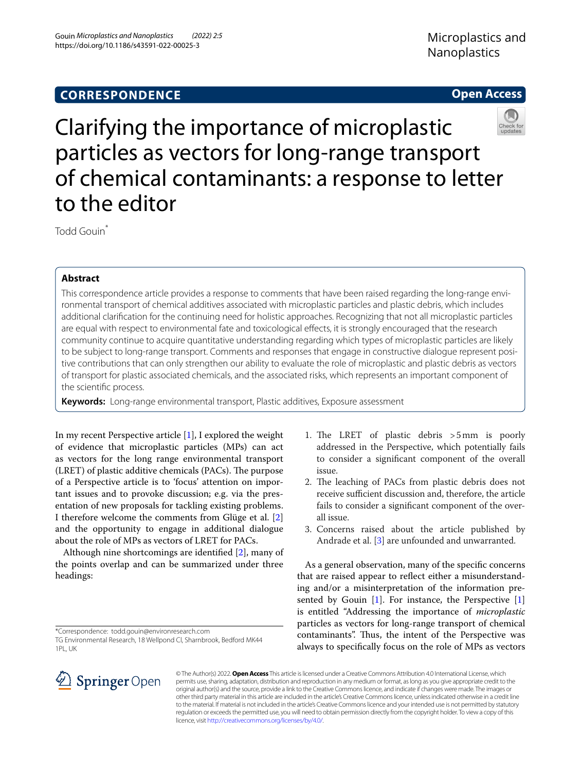# **Open Access**



Clarifying the importance of microplastic particles as vectors for long-range transport of chemical contaminants: a response to letter to the editor

Todd Gouin\*

# **Abstract**

This correspondence article provides a response to comments that have been raised regarding the long-range environmental transport of chemical additives associated with microplastic particles and plastic debris, which includes additional clarifcation for the continuing need for holistic approaches. Recognizing that not all microplastic particles are equal with respect to environmental fate and toxicological effects, it is strongly encouraged that the research community continue to acquire quantitative understanding regarding which types of microplastic particles are likely to be subject to long-range transport. Comments and responses that engage in constructive dialogue represent positive contributions that can only strengthen our ability to evaluate the role of microplastic and plastic debris as vectors of transport for plastic associated chemicals, and the associated risks, which represents an important component of the scientifc process.

**Keywords:** Long-range environmental transport, Plastic additives, Exposure assessment

In my recent Perspective article [\[1](#page-3-0)], I explored the weight of evidence that microplastic particles (MPs) can act as vectors for the long range environmental transport  $(LRET)$  of plastic additive chemicals (PACs). The purpose of a Perspective article is to 'focus' attention on important issues and to provoke discussion; e.g. via the presentation of new proposals for tackling existing problems. I therefore welcome the comments from Glüge et al. [\[2](#page-3-1)] and the opportunity to engage in additional dialogue about the role of MPs as vectors of LRET for PACs.

Although nine shortcomings are identifed [[2](#page-3-1)], many of the points overlap and can be summarized under three headings:

- 1. The LRET of plastic debris >5mm is poorly addressed in the Perspective, which potentially fails to consider a signifcant component of the overall issue.
- 2. The leaching of PACs from plastic debris does not receive sufficient discussion and, therefore, the article fails to consider a signifcant component of the overall issue.
- 3. Concerns raised about the article published by Andrade et al. [[3](#page-3-2)] are unfounded and unwarranted.

As a general observation, many of the specifc concerns that are raised appear to refect either a misunderstanding and/or a misinterpretation of the information pre-sented by Gouin [\[1](#page-3-0)]. For instance, the Perspective [1] is entitled "Addressing the importance of *microplastic* particles as vectors for long-range transport of chemical contaminants". Thus, the intent of the Perspective was always to specifcally focus on the role of MPs as vectors



© The Author(s) 2022. **Open Access** This article is licensed under a Creative Commons Attribution 4.0 International License, which permits use, sharing, adaptation, distribution and reproduction in any medium or format, as long as you give appropriate credit to the original author(s) and the source, provide a link to the Creative Commons licence, and indicate if changes were made. The images or other third party material in this article are included in the article's Creative Commons licence, unless indicated otherwise in a credit line to the material. If material is not included in the article's Creative Commons licence and your intended use is not permitted by statutory regulation or exceeds the permitted use, you will need to obtain permission directly from the copyright holder. To view a copy of this licence, visit [http://creativecommons.org/licenses/by/4.0/.](http://creativecommons.org/licenses/by/4.0/)

<sup>\*</sup>Correspondence: todd.gouin@environresearch.com

TG Environmental Research, 18 Wellpond Cl, Sharnbrook, Bedford MK44 1PL, UK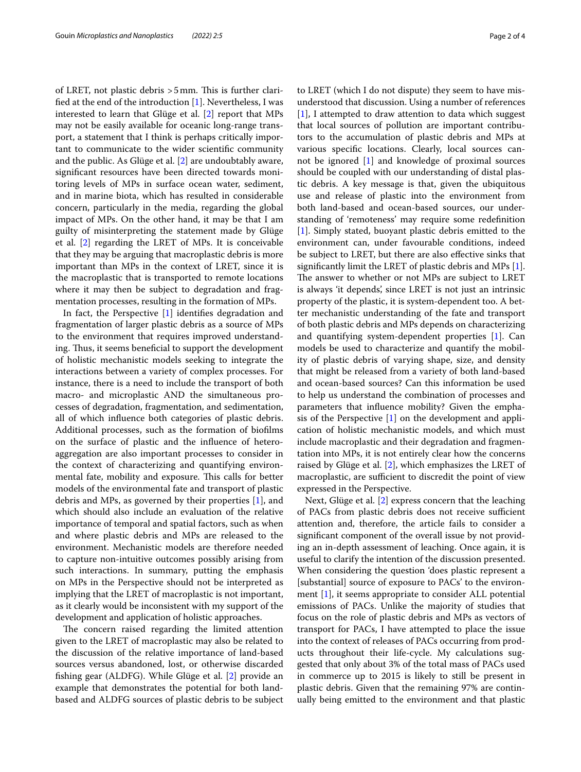of LRET, not plastic debris > 5 mm. This is further clarifed at the end of the introduction [[1\]](#page-3-0). Nevertheless, I was interested to learn that Glüge et al. [[2](#page-3-1)] report that MPs may not be easily available for oceanic long-range transport, a statement that I think is perhaps critically important to communicate to the wider scientifc community and the public. As Glüge et al. [[2\]](#page-3-1) are undoubtably aware, signifcant resources have been directed towards monitoring levels of MPs in surface ocean water, sediment, and in marine biota, which has resulted in considerable concern, particularly in the media, regarding the global impact of MPs. On the other hand, it may be that I am guilty of misinterpreting the statement made by Glüge et al. [[2\]](#page-3-1) regarding the LRET of MPs. It is conceivable that they may be arguing that macroplastic debris is more important than MPs in the context of LRET, since it is the macroplastic that is transported to remote locations where it may then be subject to degradation and fragmentation processes, resulting in the formation of MPs.

In fact, the Perspective [\[1](#page-3-0)] identifes degradation and fragmentation of larger plastic debris as a source of MPs to the environment that requires improved understanding. Thus, it seems beneficial to support the development of holistic mechanistic models seeking to integrate the interactions between a variety of complex processes. For instance, there is a need to include the transport of both macro- and microplastic AND the simultaneous processes of degradation, fragmentation, and sedimentation, all of which infuence both categories of plastic debris. Additional processes, such as the formation of bioflms on the surface of plastic and the infuence of heteroaggregation are also important processes to consider in the context of characterizing and quantifying environmental fate, mobility and exposure. This calls for better models of the environmental fate and transport of plastic debris and MPs, as governed by their properties [\[1\]](#page-3-0), and which should also include an evaluation of the relative importance of temporal and spatial factors, such as when and where plastic debris and MPs are released to the environment. Mechanistic models are therefore needed to capture non-intuitive outcomes possibly arising from such interactions. In summary, putting the emphasis on MPs in the Perspective should not be interpreted as implying that the LRET of macroplastic is not important, as it clearly would be inconsistent with my support of the development and application of holistic approaches.

The concern raised regarding the limited attention given to the LRET of macroplastic may also be related to the discussion of the relative importance of land-based sources versus abandoned, lost, or otherwise discarded fshing gear (ALDFG). While Glüge et al. [[2\]](#page-3-1) provide an example that demonstrates the potential for both landbased and ALDFG sources of plastic debris to be subject to LRET (which I do not dispute) they seem to have misunderstood that discussion. Using a number of references [[1\]](#page-3-0), I attempted to draw attention to data which suggest that local sources of pollution are important contributors to the accumulation of plastic debris and MPs at various specifc locations. Clearly, local sources cannot be ignored [\[1](#page-3-0)] and knowledge of proximal sources should be coupled with our understanding of distal plastic debris. A key message is that, given the ubiquitous use and release of plastic into the environment from both land-based and ocean-based sources, our understanding of 'remoteness' may require some redefnition [[1\]](#page-3-0). Simply stated, buoyant plastic debris emitted to the environment can, under favourable conditions, indeed be subject to LRET, but there are also efective sinks that signifcantly limit the LRET of plastic debris and MPs [\[1](#page-3-0)]. The answer to whether or not MPs are subject to LRET is always 'it depends', since LRET is not just an intrinsic property of the plastic, it is system-dependent too. A better mechanistic understanding of the fate and transport of both plastic debris and MPs depends on characterizing and quantifying system-dependent properties [[1\]](#page-3-0). Can models be used to characterize and quantify the mobility of plastic debris of varying shape, size, and density that might be released from a variety of both land-based and ocean-based sources? Can this information be used to help us understand the combination of processes and parameters that infuence mobility? Given the emphasis of the Perspective [[1\]](#page-3-0) on the development and application of holistic mechanistic models, and which must include macroplastic and their degradation and fragmentation into MPs, it is not entirely clear how the concerns raised by Glüge et al. [[2](#page-3-1)], which emphasizes the LRET of macroplastic, are sufficient to discredit the point of view expressed in the Perspective.

Next, Glüge et al. [\[2](#page-3-1)] express concern that the leaching of PACs from plastic debris does not receive sufficient attention and, therefore, the article fails to consider a signifcant component of the overall issue by not providing an in-depth assessment of leaching. Once again, it is useful to clarify the intention of the discussion presented. When considering the question 'does plastic represent a [substantial] source of exposure to PACs' to the environment [\[1\]](#page-3-0), it seems appropriate to consider ALL potential emissions of PACs. Unlike the majority of studies that focus on the role of plastic debris and MPs as vectors of transport for PACs, I have attempted to place the issue into the context of releases of PACs occurring from products throughout their life-cycle. My calculations suggested that only about 3% of the total mass of PACs used in commerce up to 2015 is likely to still be present in plastic debris. Given that the remaining 97% are continually being emitted to the environment and that plastic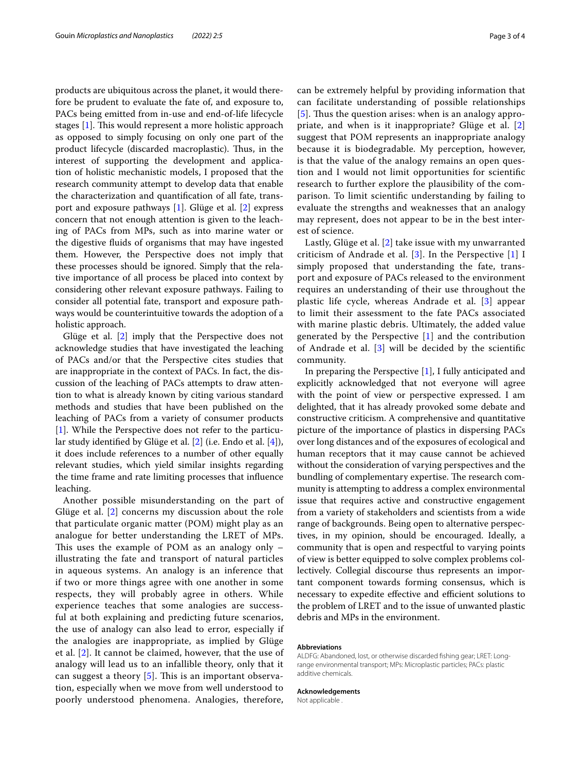products are ubiquitous across the planet, it would therefore be prudent to evaluate the fate of, and exposure to, PACs being emitted from in-use and end-of-life lifecycle stages  $[1]$ . This would represent a more holistic approach as opposed to simply focusing on only one part of the product lifecycle (discarded macroplastic). Thus, in the interest of supporting the development and application of holistic mechanistic models, I proposed that the research community attempt to develop data that enable the characterization and quantifcation of all fate, transport and exposure pathways [[1\]](#page-3-0). Glüge et al. [[2\]](#page-3-1) express concern that not enough attention is given to the leaching of PACs from MPs, such as into marine water or the digestive fuids of organisms that may have ingested them. However, the Perspective does not imply that these processes should be ignored. Simply that the relative importance of all process be placed into context by considering other relevant exposure pathways. Failing to consider all potential fate, transport and exposure pathways would be counterintuitive towards the adoption of a holistic approach.

Glüge et al. [\[2\]](#page-3-1) imply that the Perspective does not acknowledge studies that have investigated the leaching of PACs and/or that the Perspective cites studies that are inappropriate in the context of PACs. In fact, the discussion of the leaching of PACs attempts to draw attention to what is already known by citing various standard methods and studies that have been published on the leaching of PACs from a variety of consumer products [[1\]](#page-3-0). While the Perspective does not refer to the particular study identifed by Glüge et al. [\[2\]](#page-3-1) (i.e. Endo et al. [[4\]](#page-3-3)), it does include references to a number of other equally relevant studies, which yield similar insights regarding the time frame and rate limiting processes that infuence leaching.

Another possible misunderstanding on the part of Glüge et al. [[2](#page-3-1)] concerns my discussion about the role that particulate organic matter (POM) might play as an analogue for better understanding the LRET of MPs. This uses the example of POM as an analogy only  $$ illustrating the fate and transport of natural particles in aqueous systems. An analogy is an inference that if two or more things agree with one another in some respects, they will probably agree in others. While experience teaches that some analogies are successful at both explaining and predicting future scenarios, the use of analogy can also lead to error, especially if the analogies are inappropriate, as implied by Glüge et al. [\[2](#page-3-1)]. It cannot be claimed, however, that the use of analogy will lead us to an infallible theory, only that it can suggest a theory  $[5]$ . This is an important observation, especially when we move from well understood to poorly understood phenomena. Analogies, therefore, can be extremely helpful by providing information that can facilitate understanding of possible relationships [[5](#page-3-4)]. Thus the question arises: when is an analogy appropriate, and when is it inappropriate? Glüge et al. [\[2](#page-3-1)] suggest that POM represents an inappropriate analogy because it is biodegradable. My perception, however, is that the value of the analogy remains an open question and I would not limit opportunities for scientifc research to further explore the plausibility of the comparison. To limit scientifc understanding by failing to evaluate the strengths and weaknesses that an analogy may represent, does not appear to be in the best interest of science.

Lastly, Glüge et al. [[2\]](#page-3-1) take issue with my unwarranted criticism of Andrade et al. [[3](#page-3-2)]. In the Perspective [\[1\]](#page-3-0) I simply proposed that understanding the fate, transport and exposure of PACs released to the environment requires an understanding of their use throughout the plastic life cycle, whereas Andrade et al. [[3\]](#page-3-2) appear to limit their assessment to the fate PACs associated with marine plastic debris. Ultimately, the added value generated by the Perspective [[1\]](#page-3-0) and the contribution of Andrade et al.  $[3]$  $[3]$  will be decided by the scientific community.

In preparing the Perspective [\[1](#page-3-0)], I fully anticipated and explicitly acknowledged that not everyone will agree with the point of view or perspective expressed. I am delighted, that it has already provoked some debate and constructive criticism. A comprehensive and quantitative picture of the importance of plastics in dispersing PACs over long distances and of the exposures of ecological and human receptors that it may cause cannot be achieved without the consideration of varying perspectives and the bundling of complementary expertise. The research community is attempting to address a complex environmental issue that requires active and constructive engagement from a variety of stakeholders and scientists from a wide range of backgrounds. Being open to alternative perspectives, in my opinion, should be encouraged. Ideally, a community that is open and respectful to varying points of view is better equipped to solve complex problems collectively. Collegial discourse thus represents an important component towards forming consensus, which is necessary to expedite effective and efficient solutions to the problem of LRET and to the issue of unwanted plastic debris and MPs in the environment.

### **Abbreviations**

ALDFG: Abandoned, lost, or otherwise discarded fshing gear; LRET: Longrange environmental transport; MPs: Microplastic particles; PACs: plastic additive chemicals.

#### **Acknowledgements**

Not applicable